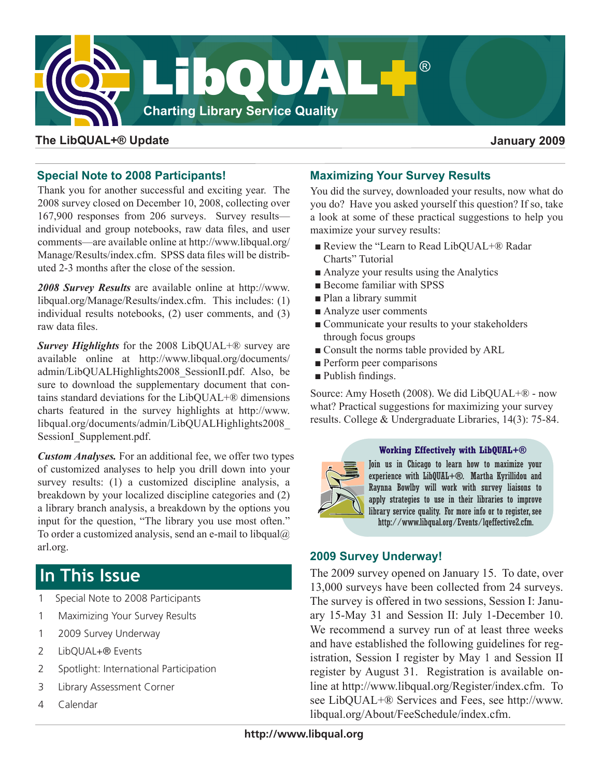

#### **The LibQUAL+® Update January 2009**

#### **Special Note to 2008 Participants!**

Thank you for another successful and exciting year. The 2008 survey closed on December 10, 2008, collecting over 167,900 responses from 206 surveys. Survey results individual and group notebooks, raw data files, and user comments—are available online at [http://www.libqual.org/](http://old.libqual.org/Manage/Results/index.cfm) [Manage/Results/index.cfm](http://old.libqual.org/Manage/Results/index.cfm). SPSS data files will be distributed 2-3 months after the close of the session.

*2008 Survey Results* are available online at [http://www.](http://old.libqual.org/Manage/Results/index.cfm) [libqual.org/Manage/Results/index.cfm](http://old.libqual.org/Manage/Results/index.cfm). This includes: (1) individual results notebooks, (2) user comments, and (3) raw data files.

*Survey Highlights* for the 2008 LibQUAL+® survey are available online at [http://www.libqual.org/documents/](http://old.libqual.org/documents/admin/LibQUALHighlights2008_SessionII.pdf) [admin/LibQUALHighlights2008\\_SessionII.pdf](http://old.libqual.org/documents/admin/LibQUALHighlights2008_SessionII.pdf). Also, be sure to download the supplementary document that contains standard deviations for the  $LibOUAL+\mathbb{R}$  dimensions charts featured in the survey highlights at [http://www.](http://old.libqual.org/documents/admin/LibQUALHighlights2008_SessionII.pdf) [libqual.org/documents/admin/LibQUALHighlights2008\\_](http://old.libqual.org/documents/admin/LibQUALHighlights2008_SessionII.pdf) [SessionI\\_Supplement.pdf](http://old.libqual.org/documents/admin/LibQUALHighlights2008_SessionII.pdf).

*Custom Analyses.* For an additional fee, we offer two types of customized analyses to help you drill down into your survey results: (1) a customized discipline analysis, a breakdown by your localized discipline categories and (2) a library branch analysis, a breakdown by the options you input for the question, "The library you use most often." To order a customized analysis, send an e-mail to libqual $@$ [arl.org](mailto:libqual@arl.org).

# **In This Issue**

- 1 Special Note to 2008 Participants
- 1 Maximizing Your Survey Results
- 1 2009 Survey Underway
- 2 LibQUAL+® Events
- 2 Spotlight: International Participation
- 3 Library Assessment Corner
- 4 Calendar

### **Maximizing Your Survey Results**

You did the survey, downloaded your results, now what do you do? Have you asked yourself this question? If so, take a look at some of these practical suggestions to help you maximize your survey results:

- Review the "Learn to Read LibQUAL+® Radar Charts" Tutorial
- Analyze your results using the Analytics
- Become familiar with SPSS
- Plan a library summit
- Analyze user comments
- Communicate your results to your stakeholders through focus groups
- Consult the norms table provided by ARL
- Perform peer comparisons
- Publish findings.

Source: Amy Hoseth (2008). We did LibQUAL+® - now what? Practical suggestions for maximizing your survey results. College & Undergraduate Libraries, 14(3): 75-84.



#### **Working Effectively with LibQUAL+®**

Join us in Chicago to learn how to maximize your experience with LibQUAL+**®**. Martha Kyrillidou and Raynna Bowlby will work with survey liaisons to apply strategies to use in their libraries to improve library service quality. For more info or to register, see [http://www.libqual.org/Events/lqeffective2.cfm](http://old.libqual.org/Events/lqeffective2.cfm).

#### **2009 Survey Underway!**

The 2009 survey opened on January 15. To date, over 13,000 surveys have been collected from 24 surveys. The survey is offered in two sessions, Session I: January 15-May 31 and Session II: July 1-December 10. We recommend a survey run of at least three weeks and have established the following guidelines for registration, Session I register by May 1 and Session II register by August 31. Registration is available online at [http://www.libqual.org/Register/index.cfm.](http://old.libqual.org/Register/index.cfm) To see LibQUAL+® Services and Fees, see [http://www.](http://old.libqual.org/About/FeeSchedule/index.cfm) [libqual.org/About/FeeSchedule/index.cfm.](http://old.libqual.org/About/FeeSchedule/index.cfm)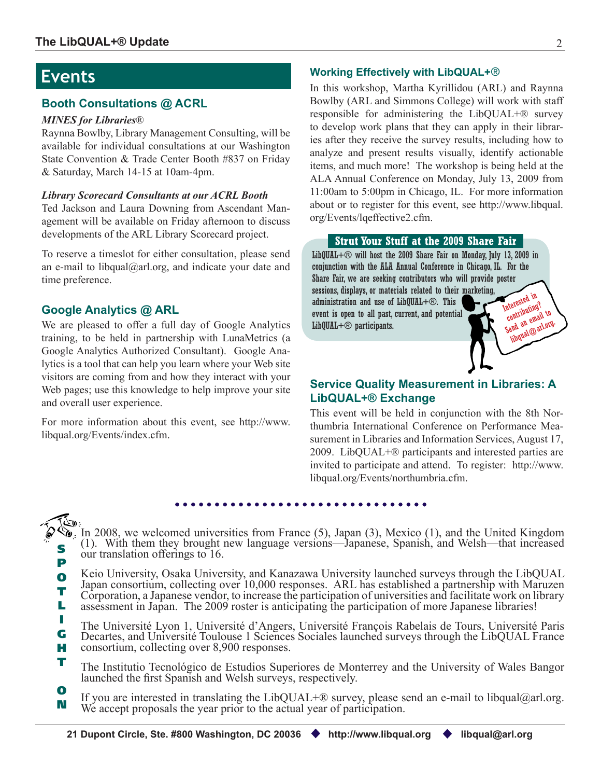## **Events**

### **Booth Consultations @ ACRL**

#### *MINES for Libraries*®

Raynna Bowlby, Library Management Consulting, will be available for individual consultations at our Washington State Convention & Trade Center Booth #837 on Friday & Saturday, March 14-15 at 10am-4pm.

#### *Library Scorecard Consultants at our ACRL Booth*

Ted Jackson and Laura Downing from Ascendant Management will be available on Friday afternoon to discuss developments of the ARL Library Scorecard project.

To reserve a timeslot for either consultation, please send an e-mail to [libqual@arl.org,](mailto:libqual@arl.org) and indicate your date and time preference.

### **Google Analytics @ ARL**

We are pleased to offer a full day of Google Analytics training, to be held in partnership with LunaMetrics (a Google Analytics Authorized Consultant). Google Analytics is a tool that can help you learn where your Web site visitors are coming from and how they interact with your Web pages; use this knowledge to help improve your site and overall user experience.

For more information about this event, see [http://www.](http://old.libqual.org/Events/index.cfm) [libqual.org/Events/index.cfm](http://old.libqual.org/Events/index.cfm).

#### **Working Effectively with LibQUAL+**®

In this workshop, Martha Kyrillidou (ARL) and Raynna Bowlby (ARL and Simmons College) will work with staff responsible for administering the LibQUAL+® survey to develop work plans that they can apply in their libraries after they receive the survey results, including how to analyze and present results visually, identify actionable items, and much more! The workshop is being held at the ALA Annual Conference on Monday, July 13, 2009 from 11:00am to 5:00pm in Chicago, IL. For more information about or to register for this event, see [http://www.libqual.](http://old.libqual.org/Events/lqeffective2.cfm) [org/Events/lqeffective2.cfm](http://old.libqual.org/Events/lqeffective2.cfm).

#### **Strut Your Stuff at the 2009 Share Fair**

LibQUAL+® will host the 2009 Share Fair on Monday, July 13, 2009 in conjunction with the ALA Annual Conference in Chicago, IL. For the Share Fair, we are seeking contributors who will provide poster sessions, displays, or materials related to their marketing, administration and use of LibQUAL+®. This event is open to all past, current, and potential LibQUAL+® participants. Interested in contributing? Send an email to [libqual@arl.org.](mailto:libqual@arl.org)

### **Service Quality Measurement in Libraries: A LibQUAL+® Exchange**

This event will be held in conjunction with the 8th Northumbria International Conference on Performance Measurement in Libraries and Information Services, August 17, 2009. LibQUAL+® participants and interested parties are invited to participate and attend. To register: http://www. libqual.org/Events/northumbria.cfm.

S P  $\delta$ , In 2008, we welcomed universities from France (5), Japan (3), Mexico (1), and the United Kingdom (1). With them they brought new language versions—Japanese, Spanish, and Welsh—that increased our translation offerings to 16.

O T L Keio University, Osaka University, and Kanazawa University launched surveys through the LibQUAL Japan consortium, collecting over 10,000 responses. ARL has established a partnership with Maruzen Corporation, a Japanese vendor, to increase the participation of universities and facilitate work on library assessment in Japan. The 2009 roster is anticipating the participation of more Japanese libraries!

I G H The Université Lyon 1, Université d'Angers, Université François Rabelais de Tours, Université Paris Decartes, and Université Toulouse 1 Sciences Sociales launched surveys through the LibQUAL France consortium, collecting over 8,900 responses.

- T The Institutio Tecnológico de Estudios Superiores de Monterrey and the University of Wales Bangor launched the first Spanish and Welsh surveys, respectively.
- O N If you are interested in translating the LibQUAL+® survey, please send an e-mail to [libqual@arl.org](mailto:libqual@arl.org). We accept proposals the year prior to the actual year of participation.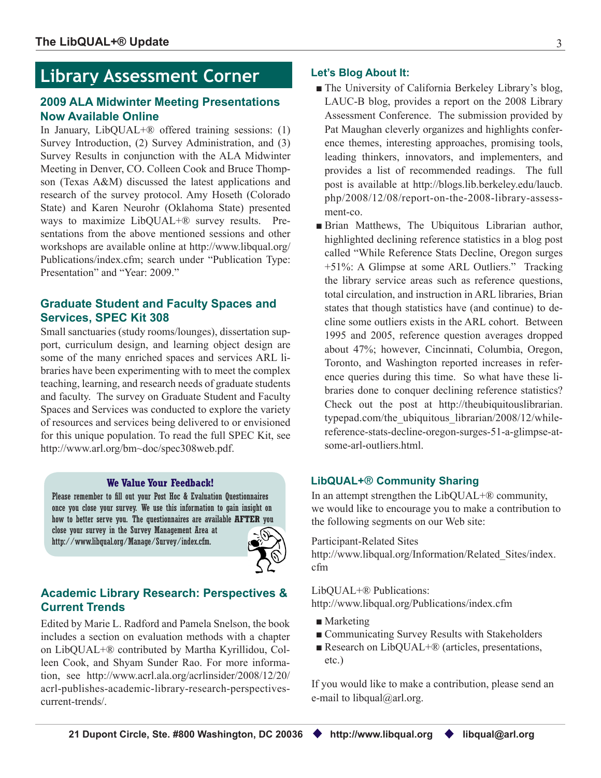## **Library Assessment Corner**

#### **2009 ALA Midwinter Meeting Presentations Now Available Online**

In January, LibQUAL+® offered training sessions: (1) Survey Introduction, (2) Survey Administration, and (3) Survey Results in conjunction with the ALA Midwinter Meeting in Denver, CO. Colleen Cook and Bruce Thompson (Texas A&M) discussed the latest applications and research of the survey protocol. Amy Hoseth (Colorado State) and Karen Neurohr (Oklahoma State) presented ways to maximize LibQUAL+® survey results. Presentations from the above mentioned sessions and other workshops are available online at [http://www.libqual.org/](http://old.libqual.org/Publications/index.cfm) [Publications/index.cfm;](http://old.libqual.org/Publications/index.cfm) search under "Publication Type: Presentation" and "Year: 2009."

#### **Graduate Student and Faculty Spaces and Services, SPEC Kit 308**

Small sanctuaries (study rooms/lounges), dissertation support, curriculum design, and learning object design are some of the many enriched spaces and services ARL libraries have been experimenting with to meet the complex teaching, learning, and research needs of graduate students and faculty. The survey on Graduate Student and Faculty Spaces and Services was conducted to explore the variety of resources and services being delivered to or envisioned for this unique population. To read the full SPEC Kit, see <http://www.arl.org/bm~doc/spec308web.pdf>.

#### **We Value Your Feedback!**

Please remember to fill out your Post Hoc & Evaluation Questionnaires once you close your survey. We use this information to gain insight on how to better serve you. The questionnaires are available **AFTER** you close your survey in the Survey Management Area at [http://www.libqual.org/Manage/Survey/index.cfm.](http://old.libqual.org/Manage/Survey/index.cfm)



#### **Academic Library Research: Perspectives & Current Trends**

Edited by Marie L. Radford and Pamela Snelson, the book includes a section on evaluation methods with a chapter on LibQUAL+® contributed by Martha Kyrillidou, Colleen Cook, and Shyam Sunder Rao. For more information, see http://www.acrl.ala.org/acrlinsider/2008/12/20/ acrl-publishes-academic-library-research-perspectivescurrent-trends/.

#### **Let's Blog About It:**

- The University of California Berkeley Library's blog, LAUC-B blog, provides a report on the 2008 Library Assessment Conference. The submission provided by Pat Maughan cleverly organizes and highlights conference themes, interesting approaches, promising tools, leading thinkers, innovators, and implementers, and provides a list of recommended readings. The full post is available at [http://blogs.lib.berkeley.edu/laucb.](http://blogs.lib.berkeley.edu/laucb.php/2008/12/08/report-on-the-2008-library-assessment-co) [php/2008/12/08/report-on-the-2008-library-assess](http://blogs.lib.berkeley.edu/laucb.php/2008/12/08/report-on-the-2008-library-assessment-co)[ment-co.](http://blogs.lib.berkeley.edu/laucb.php/2008/12/08/report-on-the-2008-library-assessment-co)
- Brian Matthews, The Ubiquitous Librarian author, highlighted declining reference statistics in a blog post called "While Reference Stats Decline, Oregon surges +51%: A Glimpse at some ARL Outliers." Tracking the library service areas such as reference questions, total circulation, and instruction in ARL libraries, Brian states that though statistics have (and continue) to decline some outliers exists in the ARL cohort. Between 1995 and 2005, reference question averages dropped about 47%; however, Cincinnati, Columbia, Oregon, Toronto, and Washington reported increases in reference queries during this time. So what have these libraries done to conquer declining reference statistics? Check out the post at [http://theubiquitouslibrarian.](http://theubiquitouslibrarian.typepad.com/the_ubiquitous_librarian/2008/12/while-reference-stats-decline-oregon-surges-51-a-glimpse-at-some-arl-outliers.html) [typepad.com/the\\_ubiquitous\\_librarian/2008/12/while](http://theubiquitouslibrarian.typepad.com/the_ubiquitous_librarian/2008/12/while-reference-stats-decline-oregon-surges-51-a-glimpse-at-some-arl-outliers.html)[reference-stats-decline-oregon-surges-51-a-glimpse-at](http://theubiquitouslibrarian.typepad.com/the_ubiquitous_librarian/2008/12/while-reference-stats-decline-oregon-surges-51-a-glimpse-at-some-arl-outliers.html)[some-arl-outliers.html.](http://theubiquitouslibrarian.typepad.com/the_ubiquitous_librarian/2008/12/while-reference-stats-decline-oregon-surges-51-a-glimpse-at-some-arl-outliers.html)

#### **LibQUAL+**® **Community Sharing**

In an attempt strengthen the LibQUAL+® community, we would like to encourage you to make a contribution to the following segments on our Web site:

Participant-Related Sites

[http://www.libqual.org/Information/Related\\_Sites/index.](http://old.libqual.org/Information/Related_Sites/index.cfm) [cfm](http://old.libqual.org/Information/Related_Sites/index.cfm)

LibQUAL+® Publications: [http://www.libqual.org/Publications/index.cfm](http://old.libqual.org/Publications/index.cfm)

- Marketing
- Communicating Survey Results with Stakeholders
- Research on LibQUAL+ $\mathcal{D}$  (articles, presentations, etc.)

If you would like to make a contribution, please send an e-mail to [libqual@arl.org.](mailto:libqual@arl.org)